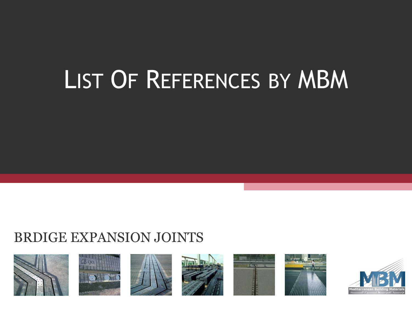# LIST OF REFERENCES BY MBM

# BRDIGE EXPANSION JOINTS













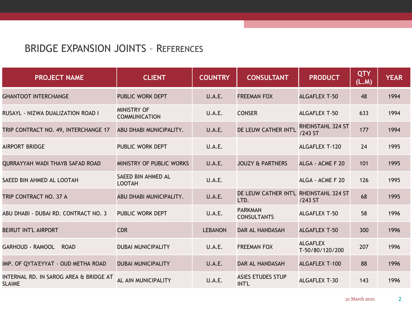| <b>PROJECT NAME</b>                                     | <b>CLIENT</b>                              | <b>COUNTRY</b> | <b>CONSULTANT</b>                              | <b>PRODUCT</b>                      | <b>QTY</b><br>(L.M) | <b>YEAR</b> |
|---------------------------------------------------------|--------------------------------------------|----------------|------------------------------------------------|-------------------------------------|---------------------|-------------|
| <b>GHANTOOT INTERCHANGE</b>                             | PUBLIC WORK DEPT                           | U.A.E.         | <b>FREEMAN FOX</b>                             | <b>ALGAFLEX T-50</b>                | 48                  | 1994        |
| RUSAYL - NIZWA DUALIZATION ROAD I                       | <b>MINISTRY OF</b><br><b>COMMUNICATION</b> | U.A.E.         | <b>CONSER</b>                                  | <b>ALGAFLEX T-50</b>                | 633                 | 1994        |
| TRIP CONTRACT NO. 49, INTERCHANGE 17                    | ABU DHABI MUNICIPALITY.                    | U.A.E.         | DE LEUW CATHER INT'L                           | <b>RHEINSTAHL 324 ST</b><br>/243 ST | 177                 | 1994        |
| <b>AIRPORT BRIDGE</b>                                   | PUBLIC WORK DEPT                           | U.A.E.         |                                                | <b>ALGAFLEX T-120</b>               | 24                  | 1995        |
| <b>QURRAYYAH WADI THAYB SAFAD ROAD</b>                  | MINISTRY OF PUBLIC WORKS                   | U.A.E.         | <b>JOUZY &amp; PARTNERS</b>                    | ALGA - ACME F 20                    | 101                 | 1995        |
| SAEED BIN AHMED AL LOOTAH                               | SAEED BIN AHMED AL<br><b>LOOTAH</b>        | U.A.E.         |                                                | ALGA - ACME F 20                    | 126                 | 1995        |
| TRIP CONTRACT NO. 37 A                                  | ABU DHABI MUNICIPALITY.                    | U.A.E.         | DE LEUW CATHER INT'L RHEINSTAHL 324 ST<br>LTD. | /243 ST                             | 68                  | 1995        |
| ABU DHABI - DUBAI RD. CONTRACT NO. 3                    | PUBLIC WORK DEPT                           | U.A.E.         | <b>PARKMAN</b><br><b>CONSULTANTS</b>           | <b>ALGAFLEX T-50</b>                | 58                  | 1996        |
| <b>BEIRUT INT'L AIRPORT</b>                             | <b>CDR</b>                                 | <b>LEBANON</b> | DAR AL HANDASAH                                | <b>ALGAFLEX T-50</b>                | 300                 | 1996        |
| <b>GARHOUD - RAMOOL</b><br><b>ROAD</b>                  | <b>DUBAI MUNICIPALITY</b>                  | U.A.E.         | <b>FREEMAN FOX</b>                             | <b>ALGAFLEX</b><br>T-50/80/120/200  | 207                 | 1996        |
| IMP. OF QYTA'EYYAT - OUD METHA ROAD                     | <b>DUBAI MUNICIPALITY</b>                  | U.A.E.         | <b>DAR AL HANDASAH</b>                         | <b>ALGAFLEX T-100</b>               | 88                  | 1996        |
| INTERNAL RD. IN SAROG AREA & BRIDGE AT<br><b>SLAIME</b> | AL AIN MUNICIPALITY                        | <b>U.A.E.</b>  | ASIES ETUDES STUP<br><b>INT'L</b>              | <b>ALGAFLEX T-30</b>                | 143                 | 1996        |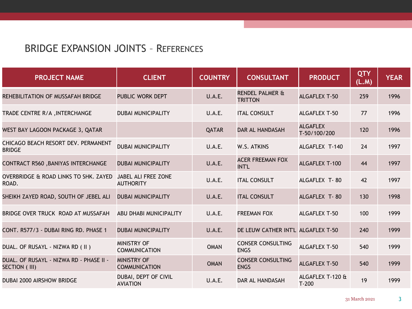| <b>PROJECT NAME</b>                                      | <b>CLIENT</b>                                  | <b>COUNTRY</b> | <b>CONSULTANT</b>                            | <b>PRODUCT</b>                  | <b>QTY</b><br>(L.M) | <b>YEAR</b> |
|----------------------------------------------------------|------------------------------------------------|----------------|----------------------------------------------|---------------------------------|---------------------|-------------|
| REHEBILITATION OF MUSSAFAH BRIDGE                        | PUBLIC WORK DEPT                               | U.A.E.         | <b>RENDEL PALMER &amp;</b><br><b>TRITTON</b> | <b>ALGAFLEX T-50</b>            | 259                 | 1996        |
| TRADE CENTRE R/A , INTERCHANGE                           | <b>DUBAI MUNICIPALITY</b>                      | U.A.E.         | <b>ITAL CONSULT</b>                          | <b>ALGAFLEX T-50</b>            | 77                  | 1996        |
| WEST BAY LAGOON PACKAGE 3, QATAR                         |                                                | <b>QATAR</b>   | <b>DAR AL HANDASAH</b>                       | <b>ALGAFLEX</b><br>T-50/100/200 | 120                 | 1996        |
| CHICAGO BEACH RESORT DEV. PERMANENT<br><b>BRIDGE</b>     | <b>DUBAI MUNICIPALITY</b>                      | U.A.E.         | W.S. ATKINS                                  | ALGAFLEX T-140                  | 24                  | 1997        |
| <b>CONTRACT R560 , BANIYAS INTERCHANGE</b>               | <b>DUBAI MUNICIPALITY</b>                      | U.A.E.         | <b>ACER FREEMAN FOX</b><br>INT'L             | <b>ALGAFLEX T-100</b>           | 44                  | 1997        |
| OVERBRIDGE & ROAD LINKS TO SHK. ZAYED<br>ROAD.           | <b>JABEL ALI FREE ZONE</b><br><b>AUTHORITY</b> | U.A.E.         | <b>ITAL CONSULT</b>                          | ALGAFLEX T-80                   | 42                  | 1997        |
| SHEIKH ZAYED ROAD, SOUTH OF JEBEL ALI                    | <b>DUBAI MUNICIPALITY</b>                      | U.A.E.         | <b>ITAL CONSULT</b>                          | ALGAFLEX T-80                   | 130                 | 1998        |
| BRIDGE OVER TRUCK ROAD AT MUSSAFAH                       | ABU DHABI MUNICIPALITY                         | U.A.E.         | <b>FREEMAN FOX</b>                           | <b>ALGAFLEX T-50</b>            | 100                 | 1999        |
| CONT. R577/3 - DUBAI RING RD. PHASE 1                    | <b>DUBAI MUNICIPALITY</b>                      | U.A.E.         | DE LEUW CATHER INT'L ALGAFLEX T-50           |                                 | 240                 | 1999        |
| DUAL. OF RUSAYL - NIZWA RD (II)                          | <b>MINISTRY OF</b><br><b>COMMUNICATION</b>     | <b>OMAN</b>    | <b>CONSER CONSULTING</b><br><b>ENGS</b>      | <b>ALGAFLEX T-50</b>            | 540                 | 1999        |
| DUAL. OF RUSAYL - NIZWA RD - PHASE II -<br>SECTION (III) | <b>MINISTRY OF</b><br><b>COMMUNICATION</b>     | <b>OMAN</b>    | <b>CONSER CONSULTING</b><br><b>ENGS</b>      | <b>ALGAFLEX T-50</b>            | 540                 | 1999        |
| <b>DUBAI 2000 AIRSHOW BRIDGE</b>                         | DUBAI, DEPT OF CIVIL<br><b>AVIATION</b>        | U.A.E.         | <b>DAR AL HANDASAH</b>                       | ALGAFLEX T-120 &<br>$T-200$     | 19                  | 1999        |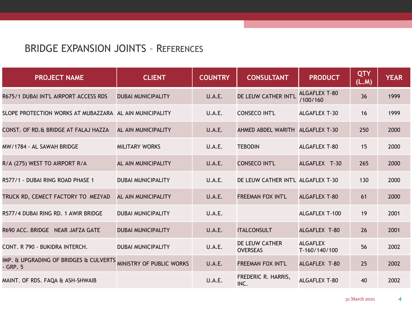| <b>PROJECT NAME</b>                                                         | <b>CLIENT</b>             | <b>COUNTRY</b> | <b>CONSULTANT</b>                  | <b>PRODUCT</b>                   | <b>QTY</b><br>(L.M) | <b>YEAR</b> |
|-----------------------------------------------------------------------------|---------------------------|----------------|------------------------------------|----------------------------------|---------------------|-------------|
| R675/1 DUBALINT'L AIRPORT ACCESS RDS                                        | <b>DUBAI MUNICIPALITY</b> | U.A.E.         | DE LEUW CATHER INT'L               | <b>ALGAFLEX T-80</b><br>/100/160 | 36                  | 1999        |
| SLOPE PROTECTION WORKS AT MUBAZZARA AL AIN MUNICIPALITY                     |                           | U.A.E.         | <b>CONSECO INT'L</b>               | <b>ALGAFLEX T-30</b>             | 16                  | 1999        |
| CONST. OF RD.& BRIDGE AT FALAJ HAZZA                                        | AL AIN MUNICIPALITY       | U.A.E.         | AHMED ABDEL WARITH ALGAFLEX T-30   |                                  | 250                 | 2000        |
| MW/1784 - AL SAWAH BRIDGE                                                   | <b>MILITARY WORKS</b>     | U.A.E.         | <b>TEBODIN</b>                     | ALGAFLEX T-80                    | 15                  | 2000        |
| R/A (275) WEST TO AIRPORT R/A                                               | AL AIN MUNICIPALITY       | U.A.E.         | <b>CONSECO INT'L</b>               | ALGAFLEX T-30                    | 265                 | 2000        |
| R577/1 - DUBAI RING ROAD PHASE 1                                            | <b>DUBAI MUNICIPALITY</b> | U.A.E.         | DE LEUW CATHER INT'L ALGAFLEX T-30 |                                  | 130                 | 2000        |
| TRUCK RD, CEMECT FACTORY TO MEZYAD                                          | AL AIN MUNICIPALITY       | U.A.E.         | <b>FREEMAN FOX INT'L</b>           | <b>ALGAFLEX T-80</b>             | 61                  | 2000        |
| R577/4 DUBAI RING RD. 1 AWIR BRIDGE                                         | <b>DUBAI MUNICIPALITY</b> | U.A.E.         |                                    | <b>ALGAFLEX T-100</b>            | 19                  | 2001        |
| R690 ACC. BRIDGE NEAR JAFZA GATE                                            | <b>DUBAI MUNICIPALITY</b> | U.A.E.         | <b>ITALCONSULT</b>                 | ALGAFLEX T-80                    | 26                  | 2001        |
| CONT. R 790 - BUKIDRA INTERCH.                                              | <b>DUBAI MUNICIPALITY</b> | <b>U.A.E.</b>  | DE LEUW CATHER<br><b>OVERSEAS</b>  | <b>ALGAFLEX</b><br>T-160/140/100 | 56                  | 2002        |
| IMP. & UPGRADING OF BRIDGES & CULVERTS MINISTRY OF PUBLIC WORKS<br>- GRP. 5 |                           | U.A.E.         | <b>FREEMAN FOX INT'L</b>           | ALGAFLEX T-80                    | 25                  | 2002        |
| MAINT. OF RDS. FAQA & ASH-SHWAIB                                            |                           | U.A.E.         | FREDERIC R. HARRIS,<br>INC.        | <b>ALGAFLEX T-80</b>             | 40                  | 2002        |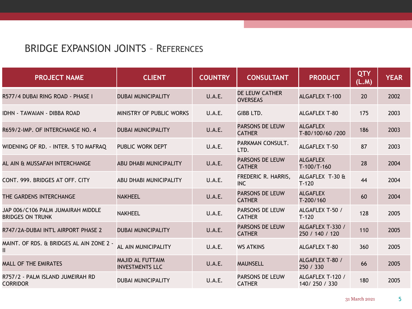| <b>PROJECT NAME</b>                                          | <b>CLIENT</b>                                     | <b>COUNTRY</b> | <b>CONSULTANT</b>                       | <b>PRODUCT</b>                      | <b>QTY</b><br>(L.M) | <b>YEAR</b> |
|--------------------------------------------------------------|---------------------------------------------------|----------------|-----------------------------------------|-------------------------------------|---------------------|-------------|
| R577/4 DUBAI RING ROAD - PHASE I                             | <b>DUBAI MUNICIPALITY</b>                         | U.A.E.         | DE LEUW CATHER<br><b>OVERSEAS</b>       | <b>ALGAFLEX T-100</b>               | 20                  | 2002        |
| <b>IDHN - TAWAIAN - DIBBA ROAD</b>                           | MINISTRY OF PUBLIC WORKS                          | U.A.E.         | GIBB LTD.                               | <b>ALGAFLEX T-80</b>                | 175                 | 2003        |
| R659/2-IMP. OF INTERCHANGE NO. 4                             | <b>DUBAI MUNICIPALITY</b>                         | <b>U.A.E.</b>  | <b>PARSONS DE LEUW</b><br><b>CATHER</b> | <b>ALGAFLEX</b><br>T-80/100/60 /200 | 186                 | 2003        |
| WIDENING OF RD. - INTER. 5 TO MAFRAQ                         | PUBLIC WORK DEPT                                  | U.A.E.         | PARKMAN CONSULT.<br>LTD.                | <b>ALGAFLEX T-50</b>                | 87                  | 2003        |
| AL AIN & MUSSAFAH INTERCHANGE                                | <b>ABU DHABI MUNICIPALITY</b>                     | U.A.E.         | <b>PARSONS DE LEUW</b><br><b>CATHER</b> | <b>ALGAFLEX</b><br>$T-100/T-160$    | 28                  | 2004        |
| CONT. 999. BRIDGES AT OFF. CITY                              | ABU DHABI MUNICIPALITY                            | U.A.E.         | FREDERIC R. HARRIS,<br>INC              | ALGAFLEX T-30 &<br>$T-120$          | 44                  | 2004        |
| THE GARDENS INTERCHANGE                                      | <b>NAKHEEL</b>                                    | U.A.E.         | PARSONS DE LEUW<br><b>CATHER</b>        | <b>ALGAFLEX</b><br>T-200/160        | 60                  | 2004        |
| JAP 006/C106 PALM JUMAIRAH MIDDLE<br><b>BRIDGES ON TRUNK</b> | <b>NAKHEEL</b>                                    | U.A.E.         | PARSONS DE LEUW<br><b>CATHER</b>        | ALGAFLEX T-50 /<br>T-120            | 128                 | 2005        |
| R747/2A-DUBAI INT'L AIRPORT PHASE 2                          | <b>DUBAI MUNICIPALITY</b>                         | U.A.E.         | <b>PARSONS DE LEUW</b><br><b>CATHER</b> | ALGAFLEX T-330 /<br>250 / 140 / 120 | 110                 | 2005        |
| MAINT. OF RDS. & BRIDGES AL AIN ZONE 2 -<br>Ш                | AL AIN MUNICIPALITY                               | U.A.E.         | <b>WS ATKINS</b>                        | <b>ALGAFLEX T-80</b>                | 360                 | 2005        |
| <b>MALL OF THE EMIRATES</b>                                  | <b>MAJID AL FUTTAIM</b><br><b>INVESTMENTS LLC</b> | <b>U.A.E.</b>  | <b>MAUNSELL</b>                         | ALGAFLEX T-80 /<br>250 / 330        | 66                  | 2005        |
| R757/2 - PALM ISLAND JUMEIRAH RD<br><b>CORRIDOR</b>          | <b>DUBAI MUNICIPALITY</b>                         | U.A.E.         | <b>PARSONS DE LEUW</b><br><b>CATHER</b> | ALGAFLEX T-120 /<br>140/250/330     | 180                 | 2005        |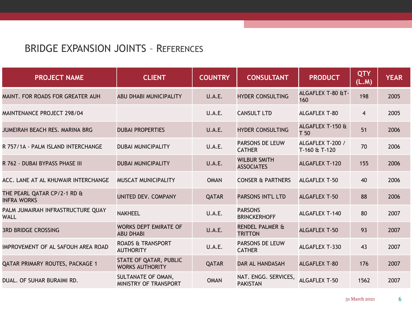| <b>PROJECT NAME</b>                               | <b>CLIENT</b>                                    | <b>COUNTRY</b> | <b>CONSULTANT</b>                            | <b>PRODUCT</b>                    | <b>QTY</b><br>(L.M) | <b>YEAR</b> |
|---------------------------------------------------|--------------------------------------------------|----------------|----------------------------------------------|-----------------------------------|---------------------|-------------|
| MAINT. FOR ROADS FOR GREATER AUH                  | <b>ABU DHABI MUNICIPALITY</b>                    | U.A.E.         | <b>HYDER CONSULTING</b>                      | ALGAFLEX T-80 &T-<br>160          | 198                 | 2005        |
| MAINTENANCE PROJECT 298/04                        |                                                  | U.A.E.         | <b>CANSULT LTD</b>                           | <b>ALGAFLEX T-80</b>              | $\overline{4}$      | 2005        |
| JUMEIRAH BEACH RES. MARINA BRG                    | <b>DUBAI PROPERTIES</b>                          | U.A.E.         | <b>HYDER CONSULTING</b>                      | ALGAFLEX T-150 &<br>T 50          | 51                  | 2006        |
| R 757/1A - PALM ISLAND INTERCHANGE                | <b>DUBAI MUNICIPALITY</b>                        | <b>U.A.E.</b>  | <b>PARSONS DE LEUW</b><br><b>CATHER</b>      | ALGAFLEX T-200 /<br>T-160 & T-120 | 70                  | 2006        |
| R 762 - DUBAI BYPASS PHASE III                    | <b>DUBAI MUNICIPALITY</b>                        | <b>U.A.E.</b>  | <b>WILBUR SMITH</b><br><b>ASSOCIATES</b>     | <b>ALGAFLEX T-120</b>             | 155                 | 2006        |
| ACC. LANE AT AL KHUWAIR INTERCHANGE               | <b>MUSCAT MUNICIPALITY</b>                       | <b>OMAN</b>    | <b>CONSER &amp; PARTNERS</b>                 | <b>ALGAFLEX T-50</b>              | 40                  | 2006        |
| THE PEARL QATAR CP/2-1 RD &<br><b>INFRA WORKS</b> | UNITED DEV. COMPANY                              | QATAR          | <b>PARSONS INT'L LTD</b>                     | <b>ALGAFLEX T-50</b>              | 88                  | 2006        |
| PALM JUMAIRAH INFRASTRUCTURE QUAY<br><b>WALL</b>  | <b>NAKHEEL</b>                                   | U.A.E.         | <b>PARSONS</b><br><b>BRINCKERHOFF</b>        | <b>ALGAFLEX T-140</b>             | 80                  | 2007        |
| <b>3RD BRIDGE CROSSING</b>                        | <b>WORKS DEPT EMIRATE OF</b><br><b>ABU DHABI</b> | <b>U.A.E.</b>  | <b>RENDEL PALMER &amp;</b><br><b>TRITTON</b> | <b>ALGAFLEX T-50</b>              | 93                  | 2007        |
| IMPROVEMENT OF AL SAFOUH AREA ROAD                | <b>ROADS &amp; TRANSPORT</b><br><b>AUTHORITY</b> | U.A.E.         | <b>PARSONS DE LEUW</b><br><b>CATHER</b>      | <b>ALGAFLEX T-330</b>             | 43                  | 2007        |
| <b>QATAR PRIMARY ROUTES, PACKAGE 1</b>            | STATE OF QATAR, PUBLIC<br><b>WORKS AUTHORITY</b> | QATAR          | <b>DAR AL HANDASAH</b>                       | <b>ALGAFLEX T-80</b>              | 176                 | 2007        |
| DUAL. OF SUHAR BURAIMI RD.                        | SULTANATE OF OMAN,<br>MINISTRY OF TRANSPORT      | <b>OMAN</b>    | NAT. ENGG. SERVICES,<br><b>PAKISTAN</b>      | <b>ALGAFLEX T-50</b>              | 1562                | 2007        |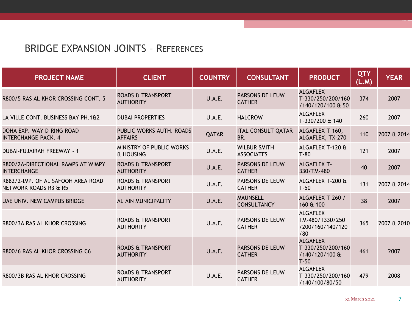| <b>PROJECT NAME</b>                                         | <b>CLIENT</b>                                    | <b>COUNTRY</b> | <b>CONSULTANT</b>                        | <b>PRODUCT</b>                                                   | <b>QTY</b><br>(L.M) | <b>YEAR</b> |
|-------------------------------------------------------------|--------------------------------------------------|----------------|------------------------------------------|------------------------------------------------------------------|---------------------|-------------|
| R800/5 RAS AL KHOR CROSSING CONT. 5                         | <b>ROADS &amp; TRANSPORT</b><br><b>AUTHORITY</b> | <b>U.A.E.</b>  | <b>PARSONS DE LEUW</b><br><b>CATHER</b>  | <b>ALGAFLEX</b><br>T-330/250/200/160<br>/140/120/100 & 50        | 374                 | 2007        |
| LA VILLE CONT. BUSINESS BAY PH.1&2                          | <b>DUBAI PROPERTIES</b>                          | U.A.E.         | <b>HALCROW</b>                           | <b>ALGAFLEX</b><br>T-330/200 & 140                               | 260                 | 2007        |
| DOHA EXP. WAY D-RING ROAD<br><b>INTERCHANGE PACK. 4</b>     | PUBLIC WORKS AUTH, ROADS<br><b>AFFAIRS</b>       | QATAR          | <b>ITAL CONSULT QATAR</b><br>BR.         | ALGAFLEX T-160,<br>ALGAFLEX, TX-270                              | 110                 | 2007 & 2014 |
| <b>DUBAI-FUJAIRAH FREEWAY - 1</b>                           | MINISTRY OF PUBLIC WORKS<br>& HOUSING            | <b>U.A.E.</b>  | <b>WILBUR SMITH</b><br><b>ASSOCIATES</b> | ALGAFLEX T-120 &<br>$T-80$                                       | 121                 | 2007        |
| R800/2A-DIRECTIONAL RAMPS AT WIMPY<br><b>INTERCHANGE</b>    | <b>ROADS &amp; TRANSPORT</b><br><b>AUTHORITY</b> | <b>U.A.E.</b>  | PARSONS DE LEUW<br><b>CATHER</b>         | <b>ALGAFLEX T-</b><br>330/TM-480                                 | 40                  | 2007        |
| R882/2-IMP. OF AL SAFOOH AREA ROAD<br>NETWORK ROADS R3 & R5 | <b>ROADS &amp; TRANSPORT</b><br><b>AUTHORITY</b> | U.A.E.         | <b>PARSONS DE LEUW</b><br><b>CATHER</b>  | ALGAFLEX T-200 &<br>$T-50$                                       | 131                 | 2007 & 2014 |
| UAE UNIV. NEW CAMPUS BRIDGE                                 | AL AIN MUNICIPALITY                              | <b>U.A.E.</b>  | <b>MAUNSELL</b><br><b>CONSULTANCY</b>    | ALGAFLEX T-260 /<br>160 & 100                                    | 38                  | 2007        |
| R800/3A RAS AL KHOR CROSSING                                | <b>ROADS &amp; TRANSPORT</b><br><b>AUTHORITY</b> | U.A.E.         | PARSONS DE LEUW<br><b>CATHER</b>         | <b>ALGAFLEX</b><br>TM-480/T330/250<br>/200/160/140/120<br>/80    | 365                 | 2007 & 2010 |
| R800/6 RAS AL KHOR CROSSING C6                              | <b>ROADS &amp; TRANSPORT</b><br><b>AUTHORITY</b> | U.A.E.         | <b>PARSONS DE LEUW</b><br><b>CATHER</b>  | <b>ALGAFLEX</b><br>T-330/250/200/160<br>/140/120/100 &<br>$T-50$ | 461                 | 2007        |
| R800/3B RAS AL KHOR CROSSING                                | <b>ROADS &amp; TRANSPORT</b><br><b>AUTHORITY</b> | <b>U.A.E.</b>  | PARSONS DE LEUW<br><b>CATHER</b>         | <b>ALGAFLEX</b><br>T-330/250/200/160<br>/140/100/80/50           | 479                 | 2008        |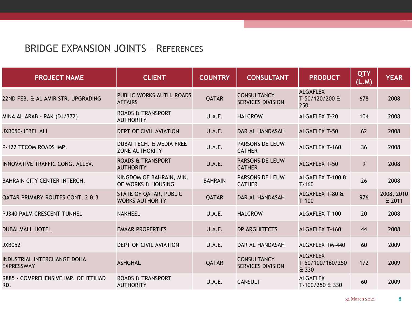| <b>PROJECT NAME</b>                                     | <b>CLIENT</b>                                     | <b>COUNTRY</b> | <b>CONSULTANT</b>                              | <b>PRODUCT</b>                               | <b>QTY</b><br>(L.M) | <b>YEAR</b>          |
|---------------------------------------------------------|---------------------------------------------------|----------------|------------------------------------------------|----------------------------------------------|---------------------|----------------------|
| 22ND FEB. & AL AMIR STR. UPGRADING                      | PUBLIC WORKS AUTH. ROADS<br><b>AFFAIRS</b>        | <b>QATAR</b>   | <b>CONSULTANCY</b><br><b>SERVICES DIVISION</b> | <b>ALGAFLEX</b><br>T-50/120/200 &<br>250     | 678                 | 2008                 |
| MINA AL ARAB - RAK (DJ/372)                             | <b>ROADS &amp; TRANSPORT</b><br><b>AUTHORITY</b>  | U.A.E.         | <b>HALCROW</b>                                 | <b>ALGAFLEX T-20</b>                         | 104                 | 2008                 |
| JXB050-JEBEL ALI                                        | DEPT OF CIVIL AVIATION                            | U.A.E.         | DAR AL HANDASAH                                | <b>ALGAFLEX T-50</b>                         | 62                  | 2008                 |
| P-122 TECOM ROADS IMP.                                  | DUBAI TECH. & MEDIA FREE<br><b>ZONE AUTHORITY</b> | U.A.E.         | <b>PARSONS DE LEUW</b><br><b>CATHER</b>        | <b>ALGAFLEX T-160</b>                        | 36                  | 2008                 |
| INNOVATIVE TRAFFIC CONG. ALLEV.                         | <b>ROADS &amp; TRANSPORT</b><br><b>AUTHORITY</b>  | U.A.E.         | <b>PARSONS DE LEUW</b><br><b>CATHER</b>        | <b>ALGAFLEX T-50</b>                         | 9                   | 2008                 |
| <b>BAHRAIN CITY CENTER INTERCH.</b>                     | KINGDOM OF BAHRAIN, MIN.<br>OF WORKS & HOUSING    | <b>BAHRAIN</b> | <b>PARSONS DE LEUW</b><br><b>CATHER</b>        | ALGAFLEX T-100 &<br>$T-160$                  | 26                  | 2008                 |
| QATAR PRIMARY ROUTES CONT. 2 & 3                        | STATE OF QATAR, PUBLIC<br><b>WORKS AUTHORITY</b>  | QATAR          | <b>DAR AL HANDASAH</b>                         | ALGAFLEX T-80 &<br>$T-100$                   | 976                 | 2008, 2010<br>& 2011 |
| <b>PJ340 PALM CRESCENT TUNNEL</b>                       | <b>NAKHEEL</b>                                    | U.A.E.         | <b>HALCROW</b>                                 | <b>ALGAFLEX T-100</b>                        | 20                  | 2008                 |
| <b>DUBAI MALL HOTEL</b>                                 | <b>EMAAR PROPERTIES</b>                           | <b>U.A.E.</b>  | <b>DP ARGHITECTS</b>                           | <b>ALGAFLEX T-160</b>                        | 44                  | 2008                 |
| <b>JXB052</b>                                           | DEPT OF CIVIL AVIATION                            | U.A.E.         | DAR AL HANDASAH                                | ALGAFLEX TM-440                              | 60                  | 2009                 |
| <b>INDUSTRIAL INTERCHANGE DOHA</b><br><b>EXPRESSWAY</b> | <b>ASHGHAL</b>                                    | QATAR          | <b>CONSULTANCY</b><br><b>SERVICES DIVISION</b> | <b>ALGAFLEX</b><br>T-50/100/160/250<br>& 330 | 172                 | 2009                 |
| R885 - COMPREHENSIVE IMP. OF ITTIHAD<br>RD.             | <b>ROADS &amp; TRANSPORT</b><br><b>AUTHORITY</b>  | U.A.E.         | <b>CANSULT</b>                                 | <b>ALGAFLEX</b><br>T-100/250 & 330           | 60                  | 2009                 |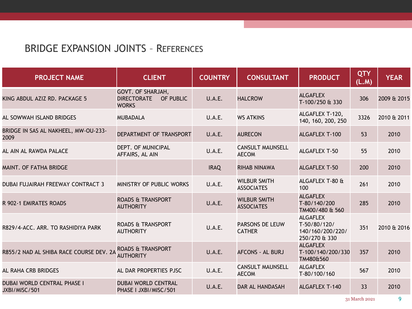| <b>PROJECT NAME</b>                                 | <b>CLIENT</b>                                                               | <b>COUNTRY</b> | <b>CONSULTANT</b>                        | <b>PRODUCT</b>                                                       | <b>QTY</b><br>(L.M) | <b>YEAR</b> |
|-----------------------------------------------------|-----------------------------------------------------------------------------|----------------|------------------------------------------|----------------------------------------------------------------------|---------------------|-------------|
| KING ABDUL AZIZ RD. PACKAGE 5                       | <b>GOVT. OF SHARJAH,</b><br>OF PUBLIC<br><b>DIRECTORATE</b><br><b>WORKS</b> | U.A.E.         | <b>HALCROW</b>                           | <b>ALGAFLEX</b><br>T-100/250 & 330                                   | 306                 | 2009 & 2015 |
| AL SOWWAH ISLAND BRIDGES                            | <b>MUBADALA</b>                                                             | U.A.E.         | <b>WS ATKINS</b>                         | ALGAFLEX T-120,<br>140, 160, 200, 250                                | 3326                | 2010 & 2011 |
| BRIDGE IN SAS AL NAKHEEL, MW-OU-233-<br>2009        | DEPARTMENT OF TRANSPORT                                                     | U.A.E.         | <b>AURECON</b>                           | <b>ALGAFLEX T-100</b>                                                | 53                  | 2010        |
| AL AIN AL RAWDA PALACE                              | <b>DEPT. OF MUNICIPAL</b><br>AFFAIRS, AL AIN                                | <b>U.A.E.</b>  | <b>CANSULT MAUNSELL</b><br><b>AECOM</b>  | <b>ALGAFLEX T-50</b>                                                 | 55                  | 2010        |
| <b>MAINT, OF FATHA BRIDGE</b>                       |                                                                             | <b>IRAQ</b>    | <b>RIHAB NINAWA</b>                      | <b>ALGAFLEX T-50</b>                                                 | 200                 | 2010        |
| <b>DUBAI FUJAIRAH FREEWAY CONTRACT 3</b>            | MINISTRY OF PUBLIC WORKS                                                    | U.A.E.         | <b>WILBUR SMITH</b><br><b>ASSOCIATES</b> | ALGAFLEX T-80 &<br>100                                               | 261                 | 2010        |
| R 902-1 EMIRATES ROADS                              | <b>ROADS &amp; TRANSPORT</b><br><b>AUTHORITY</b>                            | <b>U.A.E.</b>  | <b>WILBUR SMITH</b><br><b>ASSOCIATES</b> | <b>ALGAFLEX</b><br>T-80/140/200<br>TM400/480 & 560                   | 285                 | 2010        |
| R829/4-ACC. ARR. TO RASHIDIYA PARK                  | <b>ROADS &amp; TRANSPORT</b><br><b>AUTHORITY</b>                            | U.A.E.         | PARSONS DE LEUW<br><b>CATHER</b>         | <b>ALGAFLEX</b><br>T-50/80/120/<br>140/160/200/220/<br>250/270 & 330 | 351                 | 2010 & 2016 |
| R855/2 NAD AL SHIBA RACE COURSE DEV. 2A             | <b>ROADS &amp; TRANSPORT</b><br><b>AUTHORITY</b>                            | U.A.E.         | <b>AFCONS - AL BURJ</b>                  | <b>ALGAFLEX</b><br>T-100/140/200/330<br>TM480&560                    | 357                 | 2010        |
| AL RAHA CRB BRIDGES                                 | AL DAR PROPERTIES PJSC                                                      | U.A.E.         | <b>CANSULT MAUNSELL</b><br><b>AECOM</b>  | <b>ALGAFLEX</b><br>T-80/100/160                                      | 567                 | 2010        |
| <b>DUBAI WORLD CENTRAL PHASE I</b><br>JXBI/MISC/501 | <b>DUBAI WORLD CENTRAL</b><br>PHASE I JXBI/MISC/501                         | U.A.E.         | <b>DAR AL HANDASAH</b>                   | <b>ALGAFLEX T-140</b>                                                | 33                  | 2010        |
|                                                     |                                                                             |                |                                          |                                                                      | 31 March 2021       | 9           |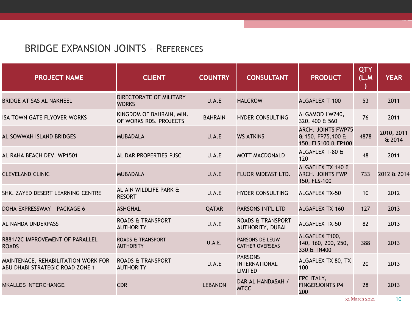| <b>PROJECT NAME</b>                                                    | <b>CLIENT</b>                                      | <b>COUNTRY</b> | <b>CONSULTANT</b>                                        | <b>PRODUCT</b>                                                         | <b>QTY</b><br>(L.M) | <b>YEAR</b>          |
|------------------------------------------------------------------------|----------------------------------------------------|----------------|----------------------------------------------------------|------------------------------------------------------------------------|---------------------|----------------------|
| <b>BRIDGE AT SAS AL NAKHEEL</b>                                        | DIRECTORATE OF MILITARY<br><b>WORKS</b>            | U.A.E          | <b>HALCROW</b>                                           | <b>ALGAFLEX T-100</b>                                                  | 53                  | 2011                 |
| <b>ISA TOWN GATE FLYOVER WORKS</b>                                     | KINGDOM OF BAHRAIN, MIN.<br>OF WORKS RDS. PROJECTS | <b>BAHRAIN</b> | <b>HYDER CONSULTING</b>                                  | ALGAMOD LW240,<br>320, 400 & 560                                       | 76                  | 2011                 |
| AL SOWWAH ISLAND BRIDGES                                               | <b>MUBADALA</b>                                    | U.A.E          | <b>WS ATKINS</b>                                         | <b>ARCH. JOINTS FWP75</b><br>& 150, FP75, 100 &<br>150, FLS100 & FP100 | 4878                | 2010, 2011<br>& 2014 |
| AL RAHA BEACH DEV. WP1501                                              | AL DAR PROPERTIES PJSC                             | U.A.E          | <b>MOTT MACDONALD</b>                                    | ALGAFLEX T-80 &<br>120                                                 | 48                  | 2011                 |
| <b>CLEVELAND CLINIC</b>                                                | <b>MUBADALA</b>                                    | U.A.E          | FLUOR MIDEAST LTD.                                       | ALGAFLEX TX 140 &<br><b>ARCH. JOINTS FWP</b><br>150, FLS-100           | 733                 | 2012 & 2014          |
| SHK. ZAYED DESERT LEARNING CENTRE                                      | AL AIN WILDLIFE PARK &<br><b>RESORT</b>            | U.A.E          | <b>HYDER CONSULTING</b>                                  | <b>ALGAFLEX TX-50</b>                                                  | 10 <sup>°</sup>     | 2012                 |
| DOHA EXPRESSWAY - PACKAGE 6                                            | <b>ASHGHAL</b>                                     | QATAR          | PARSONS INT'L LTD                                        | <b>ALGAFLEX TX-160</b>                                                 | 127                 | 2013                 |
| AL NAHDA UNDERPASS                                                     | <b>ROADS &amp; TRANSPORT</b><br><b>AUTHORITY</b>   | U.A.E          | <b>ROADS &amp; TRANSPORT</b><br>AUTHORITY, DUBAI         | <b>ALGAFLEX TX-50</b>                                                  | 82                  | 2013                 |
| R881/2C IMPROVEMENT OF PARALLEL<br><b>ROADS</b>                        | <b>ROADS &amp; TRANSPORT</b><br><b>AUTHORITY</b>   | U.A.E.         | PARSONS DE LEUW<br><b>CATHER OVERSEAS</b>                | ALGAFLEX T100,<br>140, 160, 200, 250,<br>330 & TN400                   | 388                 | 2013                 |
| MAINTENACE, REHABILITATION WORK FOR<br>ABU DHABI STRATEGIC ROAD ZONE 1 | <b>ROADS &amp; TRANSPORT</b><br><b>AUTHORITY</b>   | U.A.E          | <b>PARSONS</b><br><b>INTERNATIONAL</b><br><b>LIMITED</b> | ALGAFLEX TX 80, TX<br>100                                              | 20                  | 2013                 |
| <b>MKALLES INTERCHANGE</b>                                             | <b>CDR</b>                                         | <b>LEBANON</b> | DAR AL HANDASAH /<br><b>MTCC</b>                         | FPC ITALY,<br><b>FINGERJOINTS P4</b><br>200                            | 28                  | 2013                 |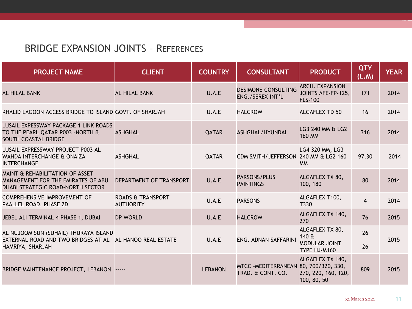| <b>PROJECT NAME</b>                                                                                                   | <b>CLIENT</b>                                    | <b>COUNTRY</b> | <b>CONSULTANT</b>                                           | <b>PRODUCT</b>                                                   | <b>QTY</b><br>(L.M) | <b>YEAR</b> |
|-----------------------------------------------------------------------------------------------------------------------|--------------------------------------------------|----------------|-------------------------------------------------------------|------------------------------------------------------------------|---------------------|-------------|
| <b>AL HILAL BANK</b>                                                                                                  | <b>AL HILAL BANK</b>                             | U.A.E          | <b>DESIMONE CONSULTING</b><br>ENG./SEREX INT'L              | <b>ARCH. EXPANSION</b><br>JOINTS AFE-FP-125,<br><b>FLS-100</b>   | 171                 | 2014        |
| KHALID LAGOON ACCESS BRIDGE TO ISLAND GOVT. OF SHARJAH                                                                |                                                  | U.A.E          | <b>HALCROW</b>                                              | <b>ALGAFLEX TD 50</b>                                            | 16                  | 2014        |
| LUSAIL EXPESSWAY PACKAGE 1 LINK ROADS<br>TO THE PEARL QATAR P003 - NORTH &<br><b>SOUTH COASTAL BRIDGE</b>             | <b>ASHGHAL</b>                                   | QATAR          | ASHGHAL/HYUNDAI                                             | LG3 240 MM & LG2<br><b>160 MM</b>                                | 316                 | 2014        |
| LUSAIL EXPRESSWAY PROJECT P003 AL<br>WAHDA INTERCHANGE & ONAIZA<br><b>INTERCHANGE</b>                                 | <b>ASHGHAL</b>                                   | QATAR          | CDM SMITH/JEFFERSON 240 MM & LG2 160                        | LG4 320 MM, LG3<br><b>MM</b>                                     | 97.30               | 2014        |
| MAINT & REHABILITATION OF ASSET<br>MANAGEMENT FOR THE EMIRATES OF ABU<br>DHABI STRATEGIC ROAD-NORTH SECTOR            | DEPARTMENT OF TRANSPORT                          | U.A.E          | PARSONS/PLUS<br><b>PAINTINGS</b>                            | ALGAFLEX TX 80,<br>100, 180                                      | 80                  | 2014        |
| <b>COMPREHENSIVE IMPROVEMENT OF</b><br>PAALLEL ROAD, PHASE 2D                                                         | <b>ROADS &amp; TRANSPORT</b><br><b>AUTHORITY</b> | U.A.E          | <b>PARSONS</b>                                              | ALGAFLEX T100,<br>T330                                           | $\overline{4}$      | 2014        |
| JEBEL ALI TERMINAL 4 PHASE 1, DUBAI                                                                                   | <b>DP WORLD</b>                                  | U.A.E          | <b>HALCROW</b>                                              | ALGAFLEX TX 140,<br>270                                          | 76                  | 2015        |
| AL NUJOOM SUN (SUHAIL) THURAYA ISLAND<br>EXTERNAL ROAD AND TWO BRIDGES AT AL AL HANOO REAL ESTATE<br>HAMRIYA, SHARJAH |                                                  | U.A.E          | <b>ENG. ADNAN SAFFARIN</b>                                  | ALGAFLEX TX 80,<br>140 &<br><b>MODULAR JOINT</b><br>TYPE HJ-M160 | 26<br>26            | 2015        |
| BRIDGE MAINTENANCE PROJECT, LEBANON -----                                                                             |                                                  | <b>LEBANON</b> | MTCC - MEDITERRANEAN 80, 700/320, 330,<br>TRAD. & CONT. CO. | ALGAFLEX TX 140,<br>270, 220, 160, 120,<br>100, 80, 50           | 809                 | 2015        |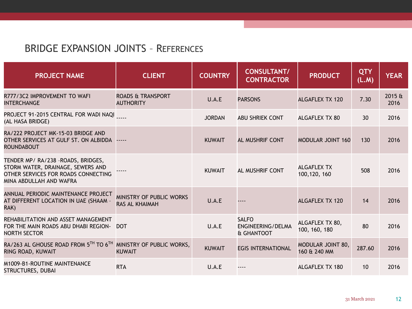| <b>PROJECT NAME</b>                                                                                                                        | <b>CLIENT</b>                                     | <b>COUNTRY</b> | <b>CONSULTANT/</b><br><b>CONTRACTOR</b>         | <b>PRODUCT</b>                     | <b>QTY</b><br>(L.M) | <b>YEAR</b>    |
|--------------------------------------------------------------------------------------------------------------------------------------------|---------------------------------------------------|----------------|-------------------------------------------------|------------------------------------|---------------------|----------------|
| R777/3C2 IMPROVEMENT TO WAFI<br><b>INTERCHANGE</b>                                                                                         | <b>ROADS &amp; TRANSPORT</b><br><b>AUTHORITY</b>  | U.A.E          | <b>PARSONS</b>                                  | <b>ALGAFLEX TX 120</b>             | 7.30                | 2015 &<br>2016 |
| PROJECT 91-2015 CENTRAL FOR WADI NAQI _____<br>(AL HASA BRIDGE)                                                                            |                                                   | <b>JORDAN</b>  | <b>ABU SHRIEK CONT</b>                          | <b>ALGAFLEX TX 80</b>              | 30                  | 2016           |
| RA/222 PROJECT MK-15-03 BRIDGE AND<br>OTHER SERVICES AT GULF ST. ON ALBIDDA  -----<br><b>ROUNDABOUT</b>                                    |                                                   | <b>KUWAIT</b>  | AL MUSHRIF CONT                                 | <b>MODULAR JOINT 160</b>           | 130                 | 2016           |
| TENDER MP/ RA/238 - ROADS, BRIDGES,<br>STORM WATER, DRAINAGE, SEWERS AND<br>OTHER SERVICES FOR ROADS CONNECTING<br>MINA ABDULLAH AND WAFRA |                                                   | <b>KUWAIT</b>  | AL MUSHRIF CONT                                 | <b>ALGAFLEX TX</b><br>100,120, 160 | 508                 | 2016           |
| ANNUAL PERIODIC MAINTENANCE PROJECT<br>AT DIFFERENT LOCATION IN UAE (SHAAM -<br>RAK)                                                       | MINISTRY OF PUBLIC WORKS<br><b>RAS AL KHAIMAH</b> | U.A.E          |                                                 | <b>ALGAFLEX TX 120</b>             | 14                  | 2016           |
| REHABILITATION AND ASSET MANAGEMENT<br>FOR THE MAIN ROADS ABU DHABI REGION- DOT<br><b>NORTH SECTOR</b>                                     |                                                   | U.A.E          | <b>SALFO</b><br>ENGINEERING/DELMA<br>& GHANTOOT | ALGAFLEX TX 80,<br>100, 160, 180   | 80                  | 2016           |
| RA/263 AL GHOUSE ROAD FROM 5TH TO 6TH<br>RING ROAD, KUWAIT                                                                                 | MINISTRY OF PUBLIC WORKS,<br><b>KUWAIT</b>        | <b>KUWAIT</b>  | <b>EGIS INTERNATIONAL</b>                       | MODULAR JOINT 80,<br>160 & 240 MM  | 287.60              | 2016           |
| M1009-B1-ROUTINE MAINTENANCE<br>STRUCTURES, DUBAI                                                                                          | <b>RTA</b>                                        | U.A.E          | ----                                            | <b>ALGAFLEX TX 180</b>             | 10                  | 2016           |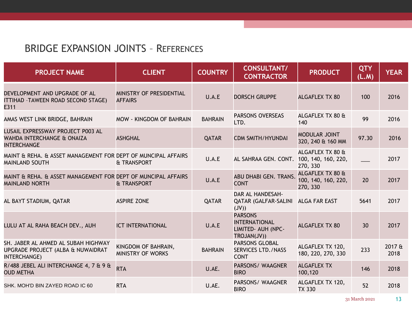| <b>PROJECT NAME</b>                                                                             | <b>CLIENT</b>                                   | <b>COUNTRY</b> | <b>CONSULTANT/</b><br><b>CONTRACTOR</b>                                     | <b>PRODUCT</b>                                      | <b>QTY</b><br>(L.M) | <b>YEAR</b>    |
|-------------------------------------------------------------------------------------------------|-------------------------------------------------|----------------|-----------------------------------------------------------------------------|-----------------------------------------------------|---------------------|----------------|
| DEVELOPMENT AND UPGRADE OF AL<br>ITTIHAD - TAWEEN ROAD SECOND STAGE)<br>E311                    | MINISTRY OF PRESIDENTIAL<br><b>AFFAIRS</b>      | U.A.E          | <b>DORSCH GRUPPE</b>                                                        | <b>ALGAFLEX TX 80</b>                               | 100                 | 2016           |
| AMAS WEST LINK BRIDGE, BAHRAIN                                                                  | <b>MOW - KINGDOM OF BAHRAIN</b>                 | <b>BAHRAIN</b> | <b>PARSONS OVERSEAS</b><br>LTD.                                             | ALGAFLEX TX 80 &<br>140                             | 99                  | 2016           |
| LUSAIL EXPRESSWAY PROJECT P003 AL<br>WAHDA INTERCHANGE & ONAIZA<br><b>INTERCHANGE</b>           | <b>ASHGHAL</b>                                  | <b>QATAR</b>   | <b>CDM SMITH/HYUNDAI</b>                                                    | <b>MODULAR JOINT</b><br>320, 240 & 160 MM           | 97.30               | 2016           |
| MAINT & REHA. & ASSET MANAGEMENT FOR DEPT OF MUNCIPAL AFFAIRS<br><b>MAINLAND SOUTH</b>          | & TRANSPORT                                     | U.A.E          | AL SAHRAA GEN. CONT.                                                        | ALGAFLEX TX 80 &<br>100, 140, 160, 220,<br>270, 330 |                     | 2017           |
| MAINT & REHA. & ASSET MANAGEMENT FOR DEPT OF MUNCIPAL AFFAIRS<br><b>MAINLAND NORTH</b>          | & TRANSPORT                                     | U.A.E          | ABU DHABI GEN. TRANS.<br><b>CONT</b>                                        | ALGAFLEX TX 80 &<br>100, 140, 160, 220,<br>270, 330 | 20                  | 2017           |
| AL BAYT STADIUM, QATAR                                                                          | <b>ASPIRE ZONE</b>                              | QATAR          | DAR AL HANDESAH-<br><b>QATAR (GALFAR-SALINI</b><br>(JV)                     | <b>ALGA FAR EAST</b>                                | 5641                | 2017           |
| LULU AT AL RAHA BEACH DEV., AUH                                                                 | <b>ICT INTERNATIONAL</b>                        | U.A.E          | <b>PARSONS</b><br><b>INTERNATIONAL</b><br>LIMITED- AUH (NPC-<br>TROJAN(JV)) | <b>ALGAFLEX TX 80</b>                               | 30                  | 2017           |
| SH. JABER AL AHMED AL SUBAH HIGHWAY<br>UPGRADE PROJECT (ALBA & NUWAIDRAT<br><b>INTERCHANGE)</b> | KINGDOM OF BAHRAIN,<br><b>MINISTRY OF WORKS</b> | <b>BAHRAIN</b> | <b>PARSONS GLOBAL</b><br><b>SERVICES LTD./NASS</b><br><b>CONT</b>           | ALGAFLEX TX 120,<br>180, 220, 270, 330              | 233                 | 2017 &<br>2018 |
| R/488 JEBEL ALI INTERCHANGE 4, 7 & 9 &<br><b>OUD METHA</b>                                      | <b>RTA</b>                                      | U.AE.          | PARSONS/ WAAGNER<br><b>BIRO</b>                                             | <b>ALGAFLEX TX</b><br>100,120                       | 146                 | 2018           |
| SHK, MOH'D BIN ZAYED ROAD IC 60                                                                 | <b>RTA</b>                                      | U.AE.          | PARSONS/ WAAGNER<br><b>BIRO</b>                                             | ALGAFLEX TX 120,<br><b>TX 330</b>                   | 52                  | 2018           |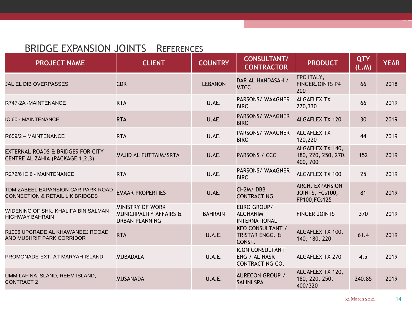| <b>PROJECT NAME</b>                                                              | <b>CLIENT</b>                                                        | <b>COUNTRY</b> | <b>CONSULTANT/</b><br><b>CONTRACTOR</b>                           | <b>PRODUCT</b>                                             | <b>QTY</b><br>(L.M) | <b>YEAR</b> |
|----------------------------------------------------------------------------------|----------------------------------------------------------------------|----------------|-------------------------------------------------------------------|------------------------------------------------------------|---------------------|-------------|
| JAL EL DIB OVERPASSES                                                            | <b>CDR</b>                                                           | <b>LEBANON</b> | DAR AL HANDASAH /<br><b>MTCC</b>                                  | FPC ITALY,<br><b>FINGERJOINTS P4</b><br>200                | 66                  | 2018        |
| R747-2A-MAINTENANCE                                                              | <b>RTA</b>                                                           | U.AE.          | PARSONS/ WAAGNER<br><b>BIRO</b>                                   | <b>ALGAFLEX TX</b><br>270,330                              | 66                  | 2019        |
| IC 60 - MAINTENANCE                                                              | <b>RTA</b>                                                           | U.AE.          | PARSONS/ WAAGNER<br><b>BIRO</b>                                   | <b>ALGAFLEX TX 120</b>                                     | 30                  | 2019        |
| R659/2 - MAINTENANCE                                                             | <b>RTA</b>                                                           | U.AE.          | PARSONS/ WAAGNER<br><b>BIRO</b>                                   | <b>ALGAFLEX TX</b><br>120,220                              | 44                  | 2019        |
| EXTERNAL ROADS & BRIDGES FOR CITY<br>CENTRE AL ZAHIA (PACKAGE 1,2,3)             | <b>MAJID AL FUTTAIM/SRTA</b>                                         | U.AE.          | PARSONS / CCC                                                     | ALGAFLEX TX 140,<br>180, 220, 250, 270,<br>400, 700        | 152                 | 2019        |
| R272/6 IC 6 - MAINTENANCE                                                        | <b>RTA</b>                                                           | U.AE.          | PARSONS/ WAAGNER<br><b>BIRO</b>                                   | <b>ALGAFLEX TX 100</b>                                     | 25                  | 2019        |
| TDM ZABEEL EXPANSION CAR PARK ROAD<br><b>CONNECTION &amp; RETAIL LIK BRIDGES</b> | <b>EMAAR PROPERTIES</b>                                              | U.AE.          | CH <sub>2</sub> M/DBB<br><b>CONTRACTING</b>                       | <b>ARCH. EXPANSION</b><br>JOINTS, FCs100,<br>FP100, FCs125 | 81                  | 2019        |
| WIDENING OF SHK. KHALIFA BIN SALMAN<br><b>HIGHWAY BAHRAIN</b>                    | MINISTRY OF WORK<br>MUNICIIPALITY AFFAIRS &<br><b>URBAN PLANNING</b> | <b>BAHRAIN</b> | EURO GROUP/<br><b>ALGHANIM</b><br><b>INTERNATIONAL</b>            | <b>FINGER JOINTS</b>                                       | 370                 | 2019        |
| R1006 UPGRADE AL KHAWANEEJ ROOAD<br>AND MUSHRIF PARK CORRIDOR                    | <b>RTA</b>                                                           | U.A.E.         | <b>KEO CONSULTANT /</b><br><b>TRISTAR ENGG. &amp;</b><br>CONST.   | ALGAFLEX TX 100,<br>140, 180, 220                          | 61.4                | 2019        |
| PROMONADE EXT. AT MARYAH ISLAND                                                  | <b>MUBADALA</b>                                                      | U.A.E.         | <b>ICON CONSULTANT</b><br>ENG / AL NASR<br><b>CONTRACTING CO.</b> | <b>ALGAFLEX TX 270</b>                                     | 4.5                 | 2019        |
| UMM LAFINA ISLAND, REEM ISLAND,<br><b>CONTRACT 2</b>                             | <b>MUSANADA</b>                                                      | U.A.E.         | <b>AURECON GROUP /</b><br><b>SALINI SPA</b>                       | ALGAFLEX TX 120,<br>180, 220, 250,<br>400/320              | 240.85              | 2019        |